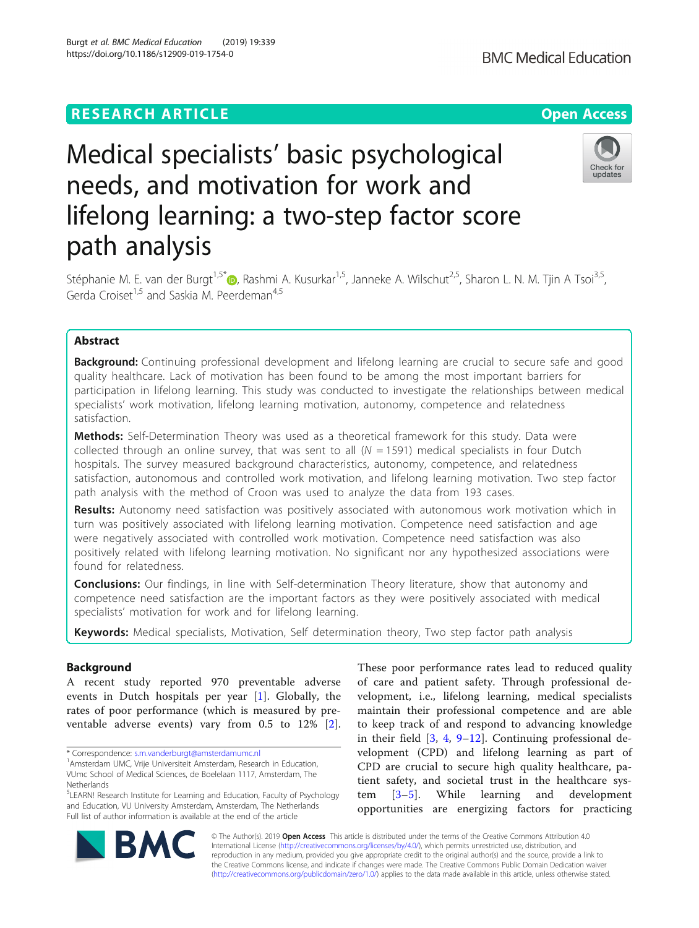# **RESEARCH ARTICLE Example 2018 12:30 The Contract of Contract Contract Open Access**

# Medical specialists' basic psychological needs, and motivation for work and lifelong learning: a two-step factor score path analysis

Stéphanie M. E. van der Burgt<sup>1,5[\\*](http://orcid.org/0000-0001-7188-1827)</sup> <sub>(b)</sub>, Rashmi A. Kusurkar<sup>1,5</sup>, Janneke A. Wilschut<sup>2,5</sup>, Sharon L. N. M. Tjin A Tsoi<sup>3,5</sup>, Gerda Croiset<sup>1,5</sup> and Saskia M. Peerdeman<sup>4,5</sup>

# Abstract

**Background:** Continuing professional development and lifelong learning are crucial to secure safe and good quality healthcare. Lack of motivation has been found to be among the most important barriers for participation in lifelong learning. This study was conducted to investigate the relationships between medical specialists' work motivation, lifelong learning motivation, autonomy, competence and relatedness satisfaction.

Methods: Self-Determination Theory was used as a theoretical framework for this study. Data were collected through an online survey, that was sent to all  $(N = 1591)$  medical specialists in four Dutch hospitals. The survey measured background characteristics, autonomy, competence, and relatedness satisfaction, autonomous and controlled work motivation, and lifelong learning motivation. Two step factor path analysis with the method of Croon was used to analyze the data from 193 cases.

Results: Autonomy need satisfaction was positively associated with autonomous work motivation which in turn was positively associated with lifelong learning motivation. Competence need satisfaction and age were negatively associated with controlled work motivation. Competence need satisfaction was also positively related with lifelong learning motivation. No significant nor any hypothesized associations were found for relatedness.

**Conclusions:** Our findings, in line with Self-determination Theory literature, show that autonomy and competence need satisfaction are the important factors as they were positively associated with medical specialists' motivation for work and for lifelong learning.

Keywords: Medical specialists, Motivation, Self determination theory, Two step factor path analysis

# Background

A recent study reported 970 preventable adverse events in Dutch hospitals per year [\[1](#page-9-0)]. Globally, the rates of poor performance (which is measured by preventable adverse events) vary from 0.5 to 12% [\[2](#page-9-0)].

\* Correspondence: [s.m.vanderburgt@amsterdamumc.nl](mailto:s.m.vanderburgt@amsterdamumc.nl) <sup>1</sup>

of care and patient safety. Through professional development, i.e., lifelong learning, medical specialists maintain their professional competence and are able to keep track of and respond to advancing knowledge in their field [\[3](#page-9-0), [4,](#page-9-0) [9](#page-9-0)–[12](#page-9-0)]. Continuing professional development (CPD) and lifelong learning as part of CPD are crucial to secure high quality healthcare, patient safety, and societal trust in the healthcare system [[3](#page-9-0)–[5](#page-9-0)]. While learning and development opportunities are energizing factors for practicing

These poor performance rates lead to reduced quality

© The Author(s). 2019 **Open Access** This article is distributed under the terms of the Creative Commons Attribution 4.0 International License [\(http://creativecommons.org/licenses/by/4.0/](http://creativecommons.org/licenses/by/4.0/)), which permits unrestricted use, distribution, and reproduction in any medium, provided you give appropriate credit to the original author(s) and the source, provide a link to the Creative Commons license, and indicate if changes were made. The Creative Commons Public Domain Dedication waiver [\(http://creativecommons.org/publicdomain/zero/1.0/](http://creativecommons.org/publicdomain/zero/1.0/)) applies to the data made available in this article, unless otherwise stated.







<sup>&</sup>lt;sup>1</sup> Amsterdam UMC, Vrije Universiteit Amsterdam, Research in Education, VUmc School of Medical Sciences, de Boelelaan 1117, Amsterdam, The **Netherlands** 

<sup>&</sup>lt;sup>5</sup>LEARN! Research Institute for Learning and Education, Faculty of Psychology and Education, VU University Amsterdam, Amsterdam, The Netherlands Full list of author information is available at the end of the article

Burgt et al. BMC Medical Education (2019) 19:339 https://doi.org/10.1186/s12909-019-1754-0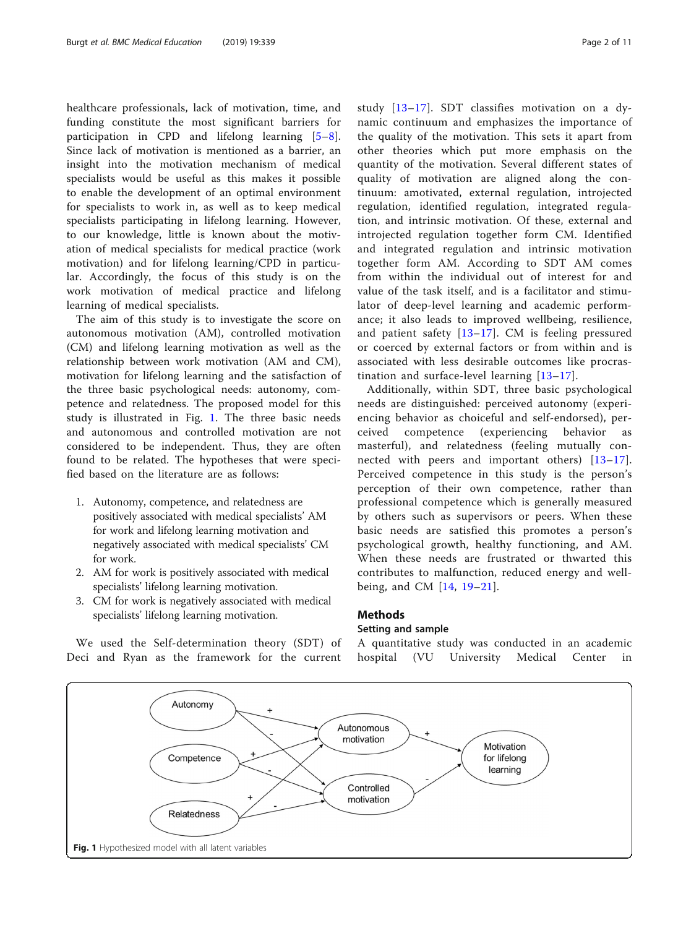<span id="page-1-0"></span>healthcare professionals, lack of motivation, time, and funding constitute the most significant barriers for participation in CPD and lifelong learning [[5](#page-9-0)–[8](#page-9-0)]. Since lack of motivation is mentioned as a barrier, an insight into the motivation mechanism of medical specialists would be useful as this makes it possible to enable the development of an optimal environment for specialists to work in, as well as to keep medical specialists participating in lifelong learning. However, to our knowledge, little is known about the motivation of medical specialists for medical practice (work motivation) and for lifelong learning/CPD in particular. Accordingly, the focus of this study is on the work motivation of medical practice and lifelong learning of medical specialists.

The aim of this study is to investigate the score on autonomous motivation (AM), controlled motivation (CM) and lifelong learning motivation as well as the relationship between work motivation (AM and CM), motivation for lifelong learning and the satisfaction of the three basic psychological needs: autonomy, competence and relatedness. The proposed model for this study is illustrated in Fig. 1. The three basic needs and autonomous and controlled motivation are not considered to be independent. Thus, they are often found to be related. The hypotheses that were specified based on the literature are as follows:

- 1. Autonomy, competence, and relatedness are positively associated with medical specialists' AM for work and lifelong learning motivation and negatively associated with medical specialists' CM for work.
- 2. AM for work is positively associated with medical specialists' lifelong learning motivation.
- 3. CM for work is negatively associated with medical specialists' lifelong learning motivation.

We used the Self-determination theory (SDT) of Deci and Ryan as the framework for the current study [[13](#page-9-0)–[17\]](#page-9-0). SDT classifies motivation on a dynamic continuum and emphasizes the importance of the quality of the motivation. This sets it apart from other theories which put more emphasis on the quantity of the motivation. Several different states of quality of motivation are aligned along the continuum: amotivated, external regulation, introjected regulation, identified regulation, integrated regulation, and intrinsic motivation. Of these, external and introjected regulation together form CM. Identified and integrated regulation and intrinsic motivation together form AM. According to SDT AM comes from within the individual out of interest for and value of the task itself, and is a facilitator and stimulator of deep-level learning and academic performance; it also leads to improved wellbeing, resilience, and patient safety [[13](#page-9-0)–[17\]](#page-9-0). CM is feeling pressured or coerced by external factors or from within and is associated with less desirable outcomes like procrastination and surface-level learning [[13](#page-9-0)–[17](#page-9-0)].

Additionally, within SDT, three basic psychological needs are distinguished: perceived autonomy (experiencing behavior as choiceful and self-endorsed), perceived competence (experiencing behavior masterful), and relatedness (feeling mutually connected with peers and important others)  $[13-17]$  $[13-17]$  $[13-17]$  $[13-17]$  $[13-17]$ . Perceived competence in this study is the person's perception of their own competence, rather than professional competence which is generally measured by others such as supervisors or peers. When these basic needs are satisfied this promotes a person's psychological growth, healthy functioning, and AM. When these needs are frustrated or thwarted this contributes to malfunction, reduced energy and wellbeing, and CM [[14](#page-9-0), [19](#page-9-0)–[21](#page-9-0)].

## Methods

# Setting and sample

A quantitative study was conducted in an academic hospital (VU University Medical Center in

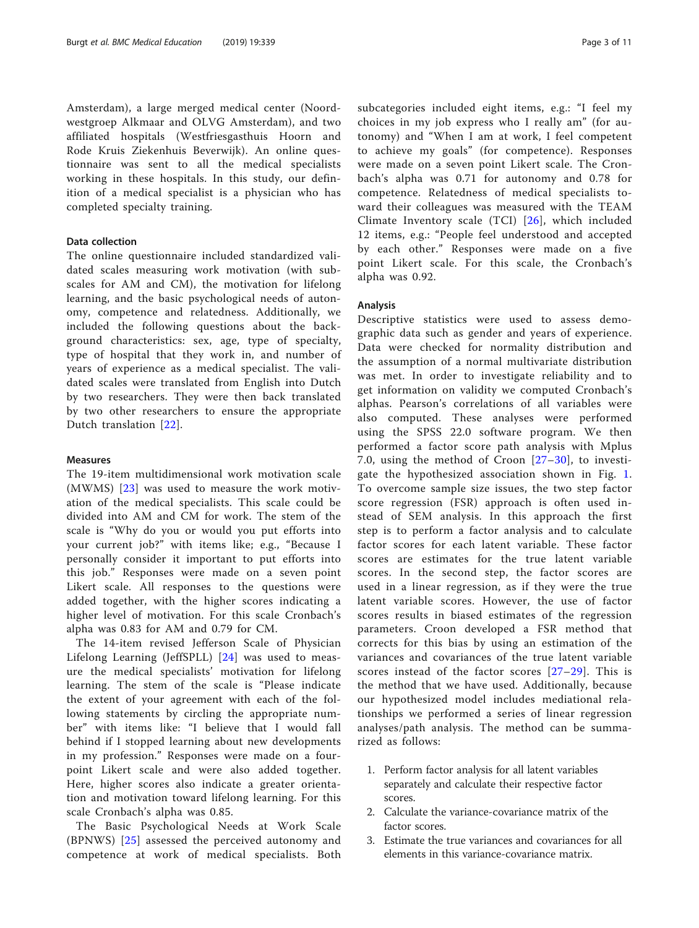Amsterdam), a large merged medical center (Noordwestgroep Alkmaar and OLVG Amsterdam), and two affiliated hospitals (Westfriesgasthuis Hoorn and Rode Kruis Ziekenhuis Beverwijk). An online questionnaire was sent to all the medical specialists working in these hospitals. In this study, our definition of a medical specialist is a physician who has completed specialty training.

# Data collection

The online questionnaire included standardized validated scales measuring work motivation (with subscales for AM and CM), the motivation for lifelong learning, and the basic psychological needs of autonomy, competence and relatedness. Additionally, we included the following questions about the background characteristics: sex, age, type of specialty, type of hospital that they work in, and number of years of experience as a medical specialist. The validated scales were translated from English into Dutch by two researchers. They were then back translated by two other researchers to ensure the appropriate Dutch translation [[22](#page-9-0)].

### Measures

The 19-item multidimensional work motivation scale (MWMS) [[23](#page-9-0)] was used to measure the work motivation of the medical specialists. This scale could be divided into AM and CM for work. The stem of the scale is "Why do you or would you put efforts into your current job?" with items like; e.g., "Because I personally consider it important to put efforts into this job." Responses were made on a seven point Likert scale. All responses to the questions were added together, with the higher scores indicating a higher level of motivation. For this scale Cronbach's alpha was 0.83 for AM and 0.79 for CM.

The 14-item revised Jefferson Scale of Physician Lifelong Learning (JeffSPLL) [\[24\]](#page-9-0) was used to measure the medical specialists' motivation for lifelong learning. The stem of the scale is "Please indicate the extent of your agreement with each of the following statements by circling the appropriate number" with items like: "I believe that I would fall behind if I stopped learning about new developments in my profession." Responses were made on a fourpoint Likert scale and were also added together. Here, higher scores also indicate a greater orientation and motivation toward lifelong learning. For this scale Cronbach's alpha was 0.85.

The Basic Psychological Needs at Work Scale (BPNWS) [\[25\]](#page-9-0) assessed the perceived autonomy and competence at work of medical specialists. Both subcategories included eight items, e.g.: "I feel my choices in my job express who I really am" (for autonomy) and "When I am at work, I feel competent to achieve my goals" (for competence). Responses were made on a seven point Likert scale. The Cronbach's alpha was 0.71 for autonomy and 0.78 for competence. Relatedness of medical specialists toward their colleagues was measured with the TEAM Climate Inventory scale (TCI) [\[26\]](#page-9-0), which included 12 items, e.g.: "People feel understood and accepted by each other." Responses were made on a five point Likert scale. For this scale, the Cronbach's alpha was 0.92.

# Analysis

Descriptive statistics were used to assess demographic data such as gender and years of experience. Data were checked for normality distribution and the assumption of a normal multivariate distribution was met. In order to investigate reliability and to get information on validity we computed Cronbach's alphas. Pearson's correlations of all variables were also computed. These analyses were performed using the SPSS 22.0 software program. We then performed a factor score path analysis with Mplus 7.0, using the method of Croon [[27](#page-9-0)–[30](#page-9-0)], to investigate the hypothesized association shown in Fig. [1](#page-1-0). To overcome sample size issues, the two step factor score regression (FSR) approach is often used instead of SEM analysis. In this approach the first step is to perform a factor analysis and to calculate factor scores for each latent variable. These factor scores are estimates for the true latent variable scores. In the second step, the factor scores are used in a linear regression, as if they were the true latent variable scores. However, the use of factor scores results in biased estimates of the regression parameters. Croon developed a FSR method that corrects for this bias by using an estimation of the variances and covariances of the true latent variable scores instead of the factor scores [[27](#page-9-0)–[29\]](#page-9-0). This is the method that we have used. Additionally, because our hypothesized model includes mediational relationships we performed a series of linear regression analyses/path analysis. The method can be summarized as follows:

- 1. Perform factor analysis for all latent variables separately and calculate their respective factor scores.
- 2. Calculate the variance-covariance matrix of the factor scores.
- 3. Estimate the true variances and covariances for all elements in this variance-covariance matrix.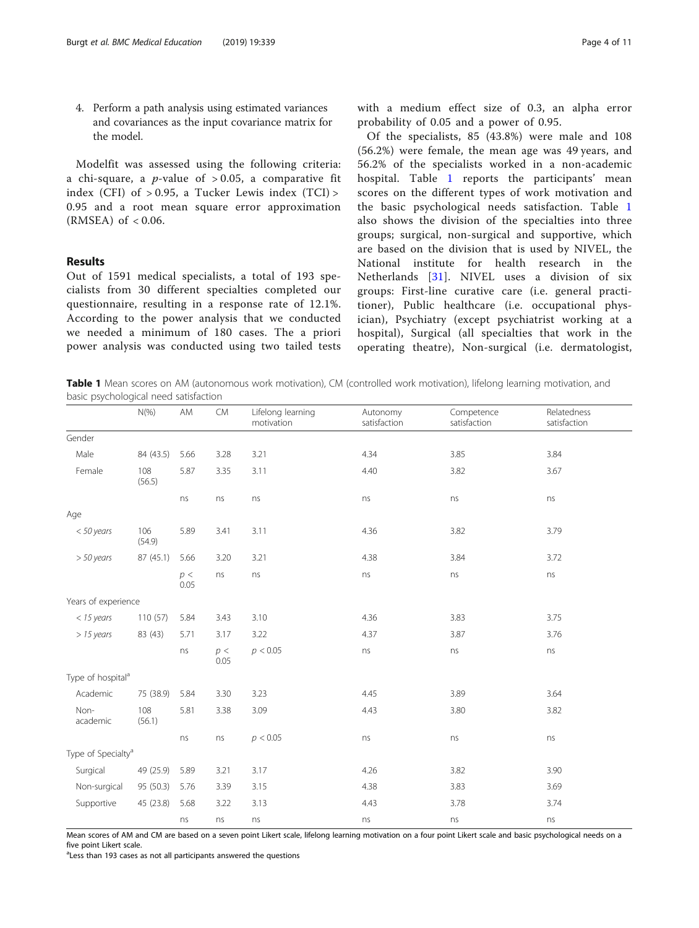<span id="page-3-0"></span>4. Perform a path analysis using estimated variances and covariances as the input covariance matrix for the model.

Modelfit was assessed using the following criteria: a chi-square, a *p*-value of  $> 0.05$ , a comparative fit index (CFI) of  $> 0.95$ , a Tucker Lewis index (TCI)  $>$ 0.95 and a root mean square error approximation  $(RMSEA)$  of  $< 0.06$ .

# Results

Out of 1591 medical specialists, a total of 193 specialists from 30 different specialties completed our questionnaire, resulting in a response rate of 12.1%. According to the power analysis that we conducted we needed a minimum of 180 cases. The a priori power analysis was conducted using two tailed tests

with a medium effect size of 0.3, an alpha error probability of 0.05 and a power of 0.95.

Of the specialists, 85 (43.8%) were male and 108 (56.2%) were female, the mean age was 49 years, and 56.2% of the specialists worked in a non-academic hospital. Table 1 reports the participants' mean scores on the different types of work motivation and the basic psychological needs satisfaction. Table 1 also shows the division of the specialties into three groups; surgical, non-surgical and supportive, which are based on the division that is used by NIVEL, the National institute for health research in the Netherlands [[31](#page-10-0)]. NIVEL uses a division of six groups: First-line curative care (i.e. general practitioner), Public healthcare (i.e. occupational physician), Psychiatry (except psychiatrist working at a hospital), Surgical (all specialties that work in the operating theatre), Non-surgical (i.e. dermatologist,

Table 1 Mean scores on AM (autonomous work motivation), CM (controlled work motivation), lifelong learning motivation, and basic psychological need satisfaction

|                                | $N(\%)$       | AM           | ${\sf CM}$  | Lifelong learning<br>motivation | Autonomy<br>satisfaction | Competence<br>satisfaction | Relatedness<br>satisfaction |
|--------------------------------|---------------|--------------|-------------|---------------------------------|--------------------------|----------------------------|-----------------------------|
| Gender                         |               |              |             |                                 |                          |                            |                             |
| Male                           | 84 (43.5)     | 5.66         | 3.28        | 3.21                            | 4.34                     | 3.85                       | 3.84                        |
| Female                         | 108<br>(56.5) | 5.87         | 3.35        | 3.11                            | 4.40                     | 3.82                       | 3.67                        |
|                                |               | ns           | ns          | ns                              | ns                       | ns                         | ns                          |
| Age                            |               |              |             |                                 |                          |                            |                             |
| <50 years                      | 106<br>(54.9) | 5.89         | 3.41        | 3.11                            | 4.36                     | 3.82                       | 3.79                        |
| $> 50$ years                   | 87 (45.1)     | 5.66         | 3.20        | 3.21                            | 4.38                     | 3.84                       | 3.72                        |
|                                |               | $p<$<br>0.05 | ns          | ns                              | ns                       | ns                         | ns                          |
| Years of experience            |               |              |             |                                 |                          |                            |                             |
| $<$ 15 years                   | 110(57)       | 5.84         | 3.43        | 3.10                            | 4.36                     | 3.83                       | 3.75                        |
| $> 15$ years                   | 83 (43)       | 5.71         | 3.17        | 3.22                            | 4.37                     | 3.87                       | 3.76                        |
|                                |               | ns           | p <<br>0.05 | p < 0.05                        | ns                       | ns                         | ns                          |
| Type of hospital <sup>a</sup>  |               |              |             |                                 |                          |                            |                             |
| Academic                       | 75 (38.9)     | 5.84         | 3.30        | 3.23                            | 4.45                     | 3.89                       | 3.64                        |
| Non-<br>academic               | 108<br>(56.1) | 5.81         | 3.38        | 3.09                            | 4.43                     | 3.80                       | 3.82                        |
|                                |               | ns           | ns          | p < 0.05                        | ns                       | ns                         | ns                          |
| Type of Specialty <sup>a</sup> |               |              |             |                                 |                          |                            |                             |
| Surgical                       | 49 (25.9)     | 5.89         | 3.21        | 3.17                            | 4.26                     | 3.82                       | 3.90                        |
| Non-surgical                   | 95 (50.3)     | 5.76         | 3.39        | 3.15                            | 4.38                     | 3.83                       | 3.69                        |
| Supportive                     | 45 (23.8)     | 5.68         | 3.22        | 3.13                            | 4.43                     | 3.78                       | 3.74                        |
|                                |               | ns           | ns          | ns                              | ns                       | ns                         | ns                          |

Mean scores of AM and CM are based on a seven point Likert scale, lifelong learning motivation on a four point Likert scale and basic psychological needs on a five point Likert scale.

<sup>a</sup>Less than 193 cases as not all participants answered the questions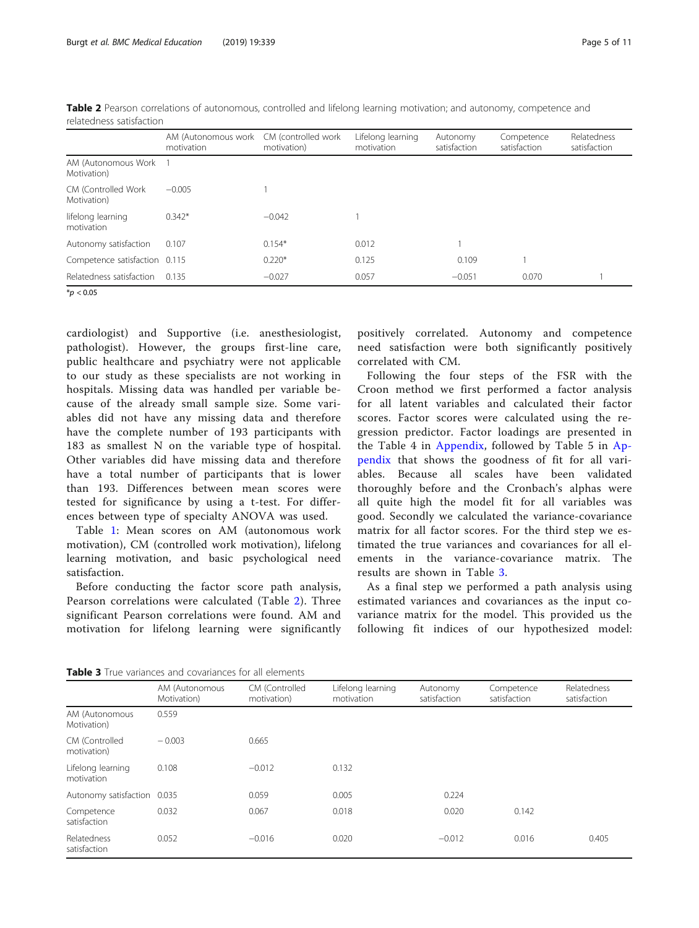|                                     | AM (Autonomous work<br>motivation | CM (controlled work<br>motivation) | Lifelong learning<br>motivation | Autonomy<br>satisfaction | Competence<br>satisfaction | Relatedness<br>satisfaction |
|-------------------------------------|-----------------------------------|------------------------------------|---------------------------------|--------------------------|----------------------------|-----------------------------|
| AM (Autonomous Work<br>Motivation)  |                                   |                                    |                                 |                          |                            |                             |
| CM (Controlled Work)<br>Motivation) | $-0.005$                          |                                    |                                 |                          |                            |                             |
| lifelong learning<br>motivation     | $0.342*$                          | $-0.042$                           |                                 |                          |                            |                             |
| Autonomy satisfaction               | 0.107                             | $0.154*$                           | 0.012                           |                          |                            |                             |
| Competence satisfaction 0.115       |                                   | $0.220*$                           | 0.125                           | 0.109                    |                            |                             |
| Relatedness satisfaction            | 0.135                             | $-0.027$                           | 0.057                           | $-0.051$                 | 0.070                      |                             |

Table 2 Pearson correlations of autonomous, controlled and lifelong learning motivation; and autonomy, competence and relatedness satisfaction

 $*$ *p* < 0.05

cardiologist) and Supportive (i.e. anesthesiologist, pathologist). However, the groups first-line care, public healthcare and psychiatry were not applicable to our study as these specialists are not working in hospitals. Missing data was handled per variable because of the already small sample size. Some variables did not have any missing data and therefore have the complete number of 193 participants with 183 as smallest N on the variable type of hospital. Other variables did have missing data and therefore have a total number of participants that is lower than 193. Differences between mean scores were tested for significance by using a t-test. For differences between type of specialty ANOVA was used.

Table [1](#page-3-0): Mean scores on AM (autonomous work motivation), CM (controlled work motivation), lifelong learning motivation, and basic psychological need satisfaction.

Before conducting the factor score path analysis, Pearson correlations were calculated (Table 2). Three significant Pearson correlations were found. AM and motivation for lifelong learning were significantly

positively correlated. Autonomy and competence need satisfaction were both significantly positively correlated with CM.

Following the four steps of the FSR with the Croon method we first performed a factor analysis for all latent variables and calculated their factor scores. Factor scores were calculated using the regression predictor. Factor loadings are presented in the Table 4 in [Appendix,](#page-7-0) followed by Table 5 in [Ap](#page-7-0)[pendix](#page-7-0) that shows the goodness of fit for all variables. Because all scales have been validated thoroughly before and the Cronbach's alphas were all quite high the model fit for all variables was good. Secondly we calculated the variance-covariance matrix for all factor scores. For the third step we estimated the true variances and covariances for all elements in the variance-covariance matrix. The results are shown in Table 3.

As a final step we performed a path analysis using estimated variances and covariances as the input covariance matrix for the model. This provided us the following fit indices of our hypothesized model:

Table 3 True variances and covariances for all elements

|                                 | AM (Autonomous<br>Motivation) | CM (Controlled<br>motivation) | Lifelong learning<br>motivation | Autonomy<br>satisfaction | Competence<br>satisfaction | Relatedness<br>satisfaction |
|---------------------------------|-------------------------------|-------------------------------|---------------------------------|--------------------------|----------------------------|-----------------------------|
| AM (Autonomous<br>Motivation)   | 0.559                         |                               |                                 |                          |                            |                             |
| CM (Controlled<br>motivation)   | $-0.003$                      | 0.665                         |                                 |                          |                            |                             |
| Lifelong learning<br>motivation | 0.108                         | $-0.012$                      | 0.132                           |                          |                            |                             |
| Autonomy satisfaction 0.035     |                               | 0.059                         | 0.005                           | 0.224                    |                            |                             |
| Competence<br>satisfaction      | 0.032                         | 0.067                         | 0.018                           | 0.020                    | 0.142                      |                             |
| Relatedness<br>satisfaction     | 0.052                         | $-0.016$                      | 0.020                           | $-0.012$                 | 0.016                      | 0.405                       |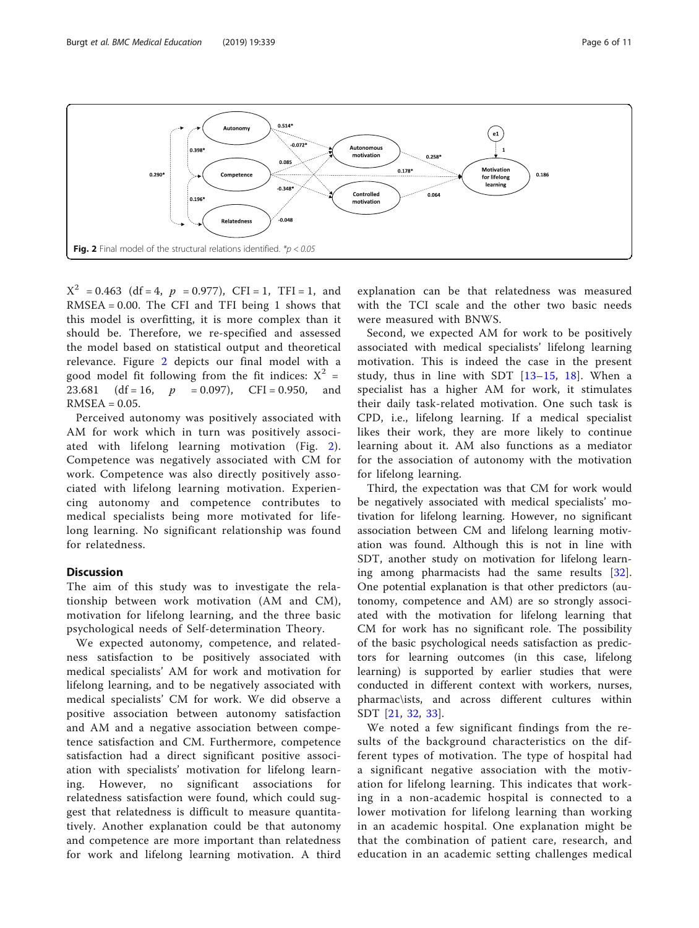

 $X^2 = 0.463$  (df = 4,  $p = 0.977$ ), CFI = 1, TFI = 1, and RMSEA =  $0.00$ . The CFI and TFI being 1 shows that this model is overfitting, it is more complex than it should be. Therefore, we re-specified and assessed the model based on statistical output and theoretical relevance. Figure 2 depicts our final model with a good model fit following from the fit indices:  $X^2 =$ 23.681 (df = 16,  $p = 0.097$ ), CFI = 0.950, and  $RMSEA = 0.05$ .

Perceived autonomy was positively associated with AM for work which in turn was positively associated with lifelong learning motivation (Fig. 2). Competence was negatively associated with CM for work. Competence was also directly positively associated with lifelong learning motivation. Experiencing autonomy and competence contributes to medical specialists being more motivated for lifelong learning. No significant relationship was found for relatedness.

# Discussion

The aim of this study was to investigate the relationship between work motivation (AM and CM), motivation for lifelong learning, and the three basic psychological needs of Self-determination Theory.

We expected autonomy, competence, and relatedness satisfaction to be positively associated with medical specialists' AM for work and motivation for lifelong learning, and to be negatively associated with medical specialists' CM for work. We did observe a positive association between autonomy satisfaction and AM and a negative association between competence satisfaction and CM. Furthermore, competence satisfaction had a direct significant positive association with specialists' motivation for lifelong learning. However, no significant associations for relatedness satisfaction were found, which could suggest that relatedness is difficult to measure quantitatively. Another explanation could be that autonomy and competence are more important than relatedness for work and lifelong learning motivation. A third

explanation can be that relatedness was measured with the TCI scale and the other two basic needs were measured with BNWS.

Second, we expected AM for work to be positively associated with medical specialists' lifelong learning motivation. This is indeed the case in the present study, thus in line with SDT  $[13-15, 18]$  $[13-15, 18]$  $[13-15, 18]$  $[13-15, 18]$  $[13-15, 18]$  $[13-15, 18]$ . When a specialist has a higher AM for work, it stimulates their daily task-related motivation. One such task is CPD, i.e., lifelong learning. If a medical specialist likes their work, they are more likely to continue learning about it. AM also functions as a mediator for the association of autonomy with the motivation for lifelong learning.

Third, the expectation was that CM for work would be negatively associated with medical specialists' motivation for lifelong learning. However, no significant association between CM and lifelong learning motivation was found. Although this is not in line with SDT, another study on motivation for lifelong learning among pharmacists had the same results [\[32](#page-10-0)]. One potential explanation is that other predictors (autonomy, competence and AM) are so strongly associated with the motivation for lifelong learning that CM for work has no significant role. The possibility of the basic psychological needs satisfaction as predictors for learning outcomes (in this case, lifelong learning) is supported by earlier studies that were conducted in different context with workers, nurses, pharmac\ists, and across different cultures within SDT [[21,](#page-9-0) [32](#page-10-0), [33](#page-10-0)].

We noted a few significant findings from the results of the background characteristics on the different types of motivation. The type of hospital had a significant negative association with the motivation for lifelong learning. This indicates that working in a non-academic hospital is connected to a lower motivation for lifelong learning than working in an academic hospital. One explanation might be that the combination of patient care, research, and education in an academic setting challenges medical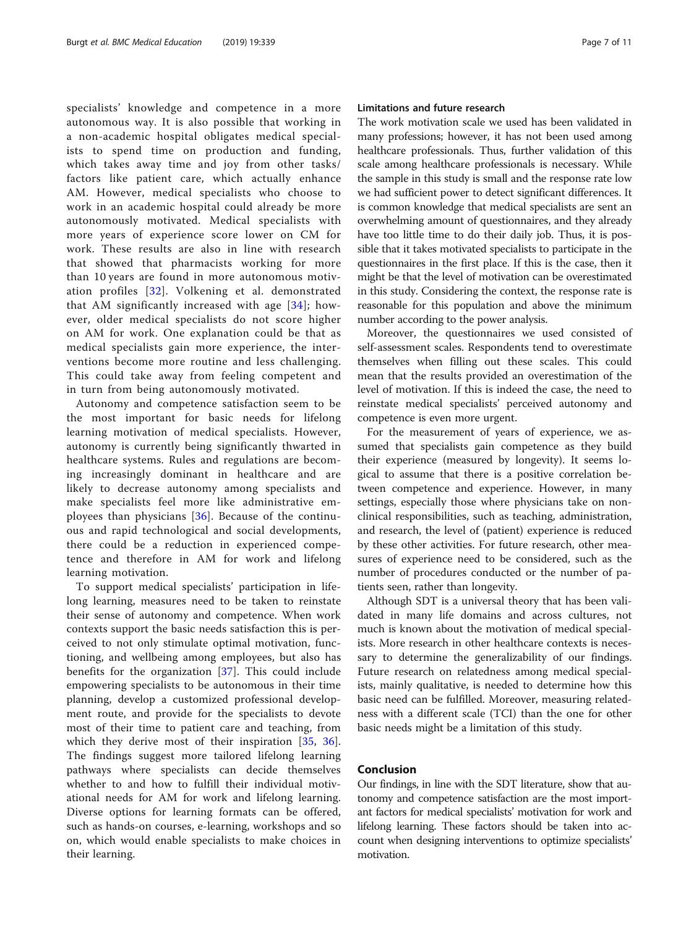specialists' knowledge and competence in a more autonomous way. It is also possible that working in a non-academic hospital obligates medical specialists to spend time on production and funding, which takes away time and joy from other tasks/ factors like patient care, which actually enhance AM. However, medical specialists who choose to work in an academic hospital could already be more autonomously motivated. Medical specialists with more years of experience score lower on CM for work. These results are also in line with research that showed that pharmacists working for more than 10 years are found in more autonomous motivation profiles [[32\]](#page-10-0). Volkening et al. demonstrated that AM significantly increased with age [[34](#page-10-0)]; however, older medical specialists do not score higher on AM for work. One explanation could be that as medical specialists gain more experience, the interventions become more routine and less challenging. This could take away from feeling competent and in turn from being autonomously motivated.

Autonomy and competence satisfaction seem to be the most important for basic needs for lifelong learning motivation of medical specialists. However, autonomy is currently being significantly thwarted in healthcare systems. Rules and regulations are becoming increasingly dominant in healthcare and are likely to decrease autonomy among specialists and make specialists feel more like administrative employees than physicians [\[36](#page-10-0)]. Because of the continuous and rapid technological and social developments, there could be a reduction in experienced competence and therefore in AM for work and lifelong learning motivation.

To support medical specialists' participation in lifelong learning, measures need to be taken to reinstate their sense of autonomy and competence. When work contexts support the basic needs satisfaction this is perceived to not only stimulate optimal motivation, functioning, and wellbeing among employees, but also has benefits for the organization [[37\]](#page-10-0). This could include empowering specialists to be autonomous in their time planning, develop a customized professional development route, and provide for the specialists to devote most of their time to patient care and teaching, from which they derive most of their inspiration [[35,](#page-10-0) [36](#page-10-0)]. The findings suggest more tailored lifelong learning pathways where specialists can decide themselves whether to and how to fulfill their individual motivational needs for AM for work and lifelong learning. Diverse options for learning formats can be offered, such as hands-on courses, e-learning, workshops and so on, which would enable specialists to make choices in their learning.

# Limitations and future research

The work motivation scale we used has been validated in many professions; however, it has not been used among healthcare professionals. Thus, further validation of this scale among healthcare professionals is necessary. While the sample in this study is small and the response rate low we had sufficient power to detect significant differences. It is common knowledge that medical specialists are sent an overwhelming amount of questionnaires, and they already have too little time to do their daily job. Thus, it is possible that it takes motivated specialists to participate in the questionnaires in the first place. If this is the case, then it might be that the level of motivation can be overestimated in this study. Considering the context, the response rate is reasonable for this population and above the minimum number according to the power analysis.

Moreover, the questionnaires we used consisted of self-assessment scales. Respondents tend to overestimate themselves when filling out these scales. This could mean that the results provided an overestimation of the level of motivation. If this is indeed the case, the need to reinstate medical specialists' perceived autonomy and competence is even more urgent.

For the measurement of years of experience, we assumed that specialists gain competence as they build their experience (measured by longevity). It seems logical to assume that there is a positive correlation between competence and experience. However, in many settings, especially those where physicians take on nonclinical responsibilities, such as teaching, administration, and research, the level of (patient) experience is reduced by these other activities. For future research, other measures of experience need to be considered, such as the number of procedures conducted or the number of patients seen, rather than longevity.

Although SDT is a universal theory that has been validated in many life domains and across cultures, not much is known about the motivation of medical specialists. More research in other healthcare contexts is necessary to determine the generalizability of our findings. Future research on relatedness among medical specialists, mainly qualitative, is needed to determine how this basic need can be fulfilled. Moreover, measuring relatedness with a different scale (TCI) than the one for other basic needs might be a limitation of this study.

# Conclusion

Our findings, in line with the SDT literature, show that autonomy and competence satisfaction are the most important factors for medical specialists' motivation for work and lifelong learning. These factors should be taken into account when designing interventions to optimize specialists' motivation.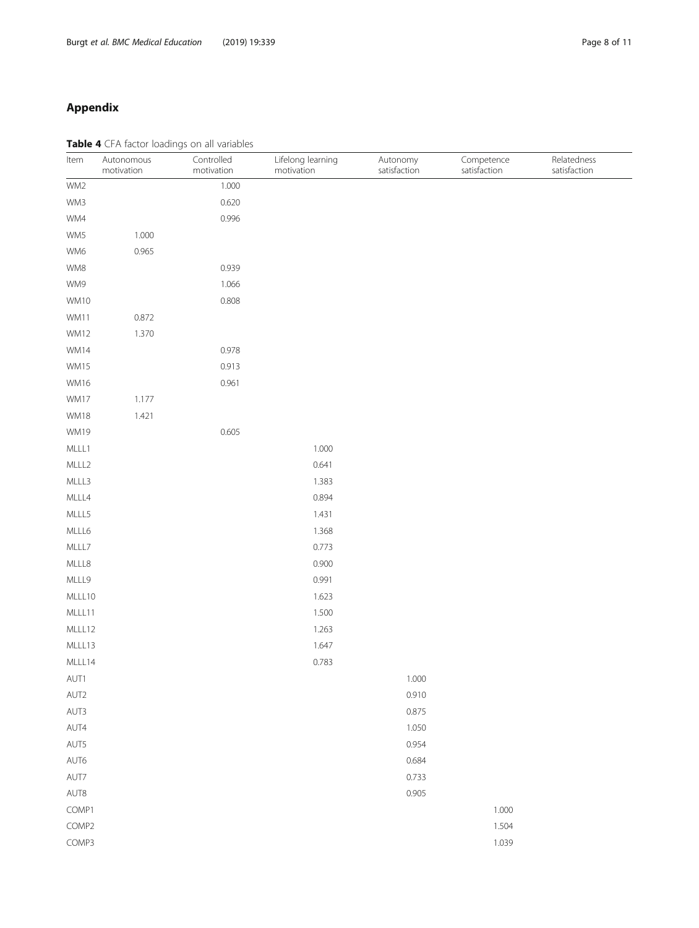# <span id="page-7-0"></span>Appendix

Table 4 CFA factor loadings on all variables

| Item        | Autonomous<br>motivation | Controlled<br>motivation | Lifelong learning<br>motivation | Autonomy<br>satisfaction | Competence<br>satisfaction | Relatedness<br>satisfaction |
|-------------|--------------------------|--------------------------|---------------------------------|--------------------------|----------------------------|-----------------------------|
| WM2         |                          | 1.000                    |                                 |                          |                            |                             |
| WM3         |                          | 0.620                    |                                 |                          |                            |                             |
| WM4         |                          | 0.996                    |                                 |                          |                            |                             |
| WM5         | 1.000                    |                          |                                 |                          |                            |                             |
| WM6         | 0.965                    |                          |                                 |                          |                            |                             |
| WM8         |                          | 0.939                    |                                 |                          |                            |                             |
| WM9         |                          | 1.066                    |                                 |                          |                            |                             |
| WM10        |                          | 0.808                    |                                 |                          |                            |                             |
| WM11        | 0.872                    |                          |                                 |                          |                            |                             |
| WM12        | 1.370                    |                          |                                 |                          |                            |                             |
| WM14        |                          | 0.978                    |                                 |                          |                            |                             |
| WM15        |                          | 0.913                    |                                 |                          |                            |                             |
| WM16        |                          | 0.961                    |                                 |                          |                            |                             |
| WM17        | 1.177                    |                          |                                 |                          |                            |                             |
| WM18        | 1.421                    |                          |                                 |                          |                            |                             |
| <b>WM19</b> |                          | 0.605                    |                                 |                          |                            |                             |
| MLLL1       |                          |                          | 1.000                           |                          |                            |                             |
| MLLL2       |                          |                          | 0.641                           |                          |                            |                             |
| MLLL3       |                          |                          | 1.383                           |                          |                            |                             |
| MLLL4       |                          |                          | 0.894                           |                          |                            |                             |
| MLLL5       |                          |                          | 1.431                           |                          |                            |                             |
| MLLL6       |                          |                          | 1.368                           |                          |                            |                             |
| MLLL7       |                          |                          | 0.773                           |                          |                            |                             |
| MLLL8       |                          |                          | 0.900                           |                          |                            |                             |
| MLLL9       |                          |                          | 0.991                           |                          |                            |                             |
| MLLL10      |                          |                          | 1.623                           |                          |                            |                             |
| MLLL11      |                          |                          | 1.500                           |                          |                            |                             |
| MLLL12      |                          |                          | 1.263                           |                          |                            |                             |
| MLLL13      |                          |                          | 1.647                           |                          |                            |                             |
| MLLL14      |                          |                          | 0.783                           |                          |                            |                             |
| AUT1        |                          |                          |                                 | 1.000                    |                            |                             |
| AUT2        |                          |                          |                                 | 0.910                    |                            |                             |
| AUT3        |                          |                          |                                 | 0.875                    |                            |                             |
| AUT4        |                          |                          |                                 | 1.050                    |                            |                             |
| AUT5        |                          |                          |                                 | 0.954                    |                            |                             |
| AUT6        |                          |                          |                                 | 0.684                    |                            |                             |
| AUT7        |                          |                          |                                 | 0.733                    |                            |                             |
| AUT8        |                          |                          |                                 | 0.905                    |                            |                             |
| COMP1       |                          |                          |                                 |                          | 1.000                      |                             |
| COMP2       |                          |                          |                                 |                          | 1.504                      |                             |
| COMP3       |                          |                          |                                 |                          | 1.039                      |                             |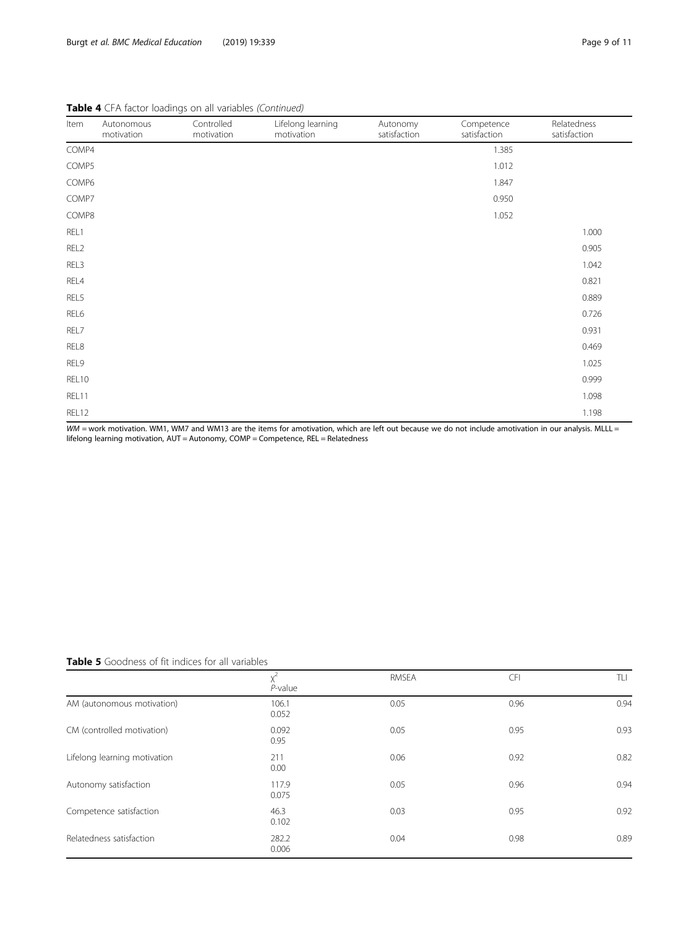| Item  | Autonomous<br>motivation | Controlled<br>motivation                                                                                                                                                                                                                                                                                    | Lifelong learning<br>motivation | Autonomy<br>satisfaction | Competence<br>satisfaction                                                                                                                                                                                                                             | Relatedness<br>satisfaction |
|-------|--------------------------|-------------------------------------------------------------------------------------------------------------------------------------------------------------------------------------------------------------------------------------------------------------------------------------------------------------|---------------------------------|--------------------------|--------------------------------------------------------------------------------------------------------------------------------------------------------------------------------------------------------------------------------------------------------|-----------------------------|
| COMP4 |                          |                                                                                                                                                                                                                                                                                                             |                                 |                          | 1.385                                                                                                                                                                                                                                                  |                             |
| COMP5 |                          |                                                                                                                                                                                                                                                                                                             |                                 |                          | 1.012                                                                                                                                                                                                                                                  |                             |
| COMP6 |                          |                                                                                                                                                                                                                                                                                                             |                                 |                          | 1.847                                                                                                                                                                                                                                                  |                             |
| COMP7 |                          |                                                                                                                                                                                                                                                                                                             |                                 |                          | 0.950                                                                                                                                                                                                                                                  |                             |
| COMP8 |                          |                                                                                                                                                                                                                                                                                                             |                                 |                          | 1.052                                                                                                                                                                                                                                                  |                             |
| REL1  |                          |                                                                                                                                                                                                                                                                                                             |                                 |                          |                                                                                                                                                                                                                                                        | 1.000                       |
| REL2  |                          |                                                                                                                                                                                                                                                                                                             |                                 |                          |                                                                                                                                                                                                                                                        | 0.905                       |
| REL3  |                          |                                                                                                                                                                                                                                                                                                             |                                 |                          |                                                                                                                                                                                                                                                        | 1.042                       |
| REL4  |                          |                                                                                                                                                                                                                                                                                                             |                                 |                          |                                                                                                                                                                                                                                                        | 0.821                       |
| REL5  |                          |                                                                                                                                                                                                                                                                                                             |                                 |                          |                                                                                                                                                                                                                                                        | 0.889                       |
| REL6  |                          |                                                                                                                                                                                                                                                                                                             |                                 |                          |                                                                                                                                                                                                                                                        | 0.726                       |
| REL7  |                          |                                                                                                                                                                                                                                                                                                             |                                 |                          |                                                                                                                                                                                                                                                        | 0.931                       |
| REL8  |                          |                                                                                                                                                                                                                                                                                                             |                                 |                          |                                                                                                                                                                                                                                                        | 0.469                       |
| REL9  |                          |                                                                                                                                                                                                                                                                                                             |                                 |                          |                                                                                                                                                                                                                                                        | 1.025                       |
| REL10 |                          |                                                                                                                                                                                                                                                                                                             |                                 |                          |                                                                                                                                                                                                                                                        | 0.999                       |
| REL11 |                          |                                                                                                                                                                                                                                                                                                             |                                 |                          |                                                                                                                                                                                                                                                        | 1.098                       |
| REL12 |                          | $\mathbf{r}$ , $\mathbf{r}$ , $\mathbf{r}$ , $\mathbf{r}$ , $\mathbf{r}$ , $\mathbf{r}$ , $\mathbf{r}$ , $\mathbf{r}$ , $\mathbf{r}$ , $\mathbf{r}$ , $\mathbf{r}$ , $\mathbf{r}$ , $\mathbf{r}$ , $\mathbf{r}$ , $\mathbf{r}$ , $\mathbf{r}$ , $\mathbf{r}$ , $\mathbf{r}$ , $\mathbf{r}$ , $\mathbf{r}$ , |                                 |                          | $\mathbf{r}$ . The set of the set of the set of the set of the set of the set of the set of the set of the set of the set of the set of the set of the set of the set of the set of the set of the set of the set of the set of t<br>$\cdots$ $\cdots$ | 1.198<br>                   |

Table 4 CFA factor loadings on all variables (Continued)

WM = work motivation. WM1, WM7 and WM13 are the items for amotivation, which are left out because we do not include amotivation in our analysis. MLLL = lifelong learning motivation, AUT = Autonomy, COMP = Competence, REL = Relatedness

Table 5 Goodness of fit indices for all variables

|                              | $P$ -value     | <b>RMSEA</b> | CFI  | TLI  |
|------------------------------|----------------|--------------|------|------|
| AM (autonomous motivation)   | 106.1<br>0.052 | 0.05         | 0.96 | 0.94 |
| CM (controlled motivation)   | 0.092<br>0.95  | 0.05         | 0.95 | 0.93 |
| Lifelong learning motivation | 211<br>0.00    | 0.06         | 0.92 | 0.82 |
| Autonomy satisfaction        | 117.9<br>0.075 | 0.05         | 0.96 | 0.94 |
| Competence satisfaction      | 46.3<br>0.102  | 0.03         | 0.95 | 0.92 |
| Relatedness satisfaction     | 282.2<br>0.006 | 0.04         | 0.98 | 0.89 |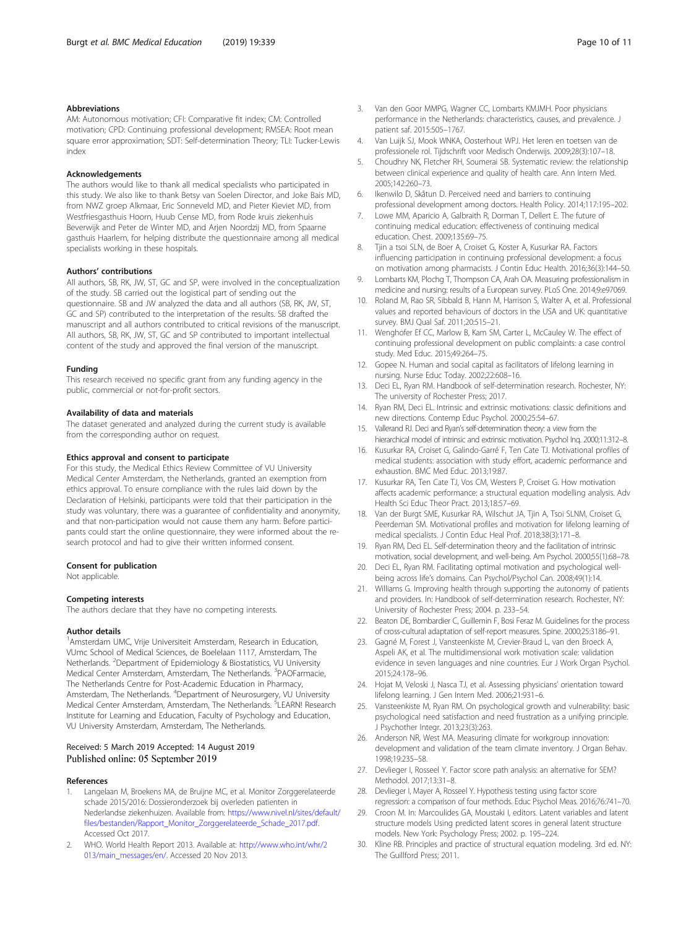## <span id="page-9-0"></span>Abbreviations

AM: Autonomous motivation; CFI: Comparative fit index; CM: Controlled motivation; CPD: Continuing professional development; RMSEA: Root mean square error approximation; SDT: Self-determination Theory; TLI: Tucker-Lewis index

#### Acknowledgements

The authors would like to thank all medical specialists who participated in this study. We also like to thank Betsy van Soelen Director, and Joke Bais MD, from NWZ groep Alkmaar, Eric Sonneveld MD, and Pieter Kieviet MD, from Westfriesgasthuis Hoorn, Huub Cense MD, from Rode kruis ziekenhuis Beverwijk and Peter de Winter MD, and Arjen Noordzij MD, from Spaarne gasthuis Haarlem, for helping distribute the questionnaire among all medical specialists working in these hospitals.

#### Authors' contributions

All authors, SB, RK, JW, ST, GC and SP, were involved in the conceptualization of the study. SB carried out the logistical part of sending out the questionnaire. SB and JW analyzed the data and all authors (SB, RK, JW, ST, GC and SP) contributed to the interpretation of the results. SB drafted the manuscript and all authors contributed to critical revisions of the manuscript. All authors, SB, RK, JW, ST, GC and SP contributed to important intellectual content of the study and approved the final version of the manuscript.

#### Funding

This research received no specific grant from any funding agency in the public, commercial or not-for-profit sectors.

# Availability of data and materials

The dataset generated and analyzed during the current study is available from the corresponding author on request.

#### Ethics approval and consent to participate

For this study, the Medical Ethics Review Committee of VU University Medical Center Amsterdam, the Netherlands, granted an exemption from ethics approval. To ensure compliance with the rules laid down by the Declaration of Helsinki, participants were told that their participation in the study was voluntary, there was a guarantee of confidentiality and anonymity, and that non-participation would not cause them any harm. Before participants could start the online questionnaire, they were informed about the research protocol and had to give their written informed consent.

#### Consent for publication

Not applicable.

## Competing interests

The authors declare that they have no competing interests.

#### Author details

<sup>1</sup> Amsterdam UMC, Vrije Universiteit Amsterdam, Research in Education, VUmc School of Medical Sciences, de Boelelaan 1117, Amsterdam, The Netherlands. <sup>2</sup>Department of Epidemiology & Biostatistics, VU University Medical Center Amsterdam, Amsterdam, The Netherlands. <sup>3</sup>PAOFarmacie, The Netherlands Centre for Post-Academic Education in Pharmacy, Amsterdam, The Netherlands. <sup>4</sup>Department of Neurosurgery, VU University Medical Center Amsterdam, Amsterdam, The Netherlands. <sup>5</sup>LEARN! Research Institute for Learning and Education, Faculty of Psychology and Education, VU University Amsterdam, Amsterdam, The Netherlands.

#### Received: 5 March 2019 Accepted: 14 August 2019 Published online: 05 September 2019

#### References

- 1. Langelaan M, Broekens MA, de Bruijne MC, et al. Monitor Zorggerelateerde schade 2015/2016: Dossieronderzoek bij overleden patienten in Nederlandse ziekenhuizen. Available from: [https://www.nivel.nl/sites/default/](https://www.nivel.nl/sites/default/files/bestanden/Rapport_Monitor_Zorggerelateerde_Schade_2017.pdf) [files/bestanden/Rapport\\_Monitor\\_Zorggerelateerde\\_Schade\\_2017.pdf](https://www.nivel.nl/sites/default/files/bestanden/Rapport_Monitor_Zorggerelateerde_Schade_2017.pdf). Accessed Oct 2017.
- 2. WHO. World Health Report 2013. Available at: [http://www.who.int/whr/2](http://www.who.int/whr/2013/main_messages/en/) [013/main\\_messages/en/.](http://www.who.int/whr/2013/main_messages/en/) Accessed 20 Nov 2013.
- 3. Van den Goor MMPG, Wagner CC, Lombarts KMJMH. Poor physicians performance in the Netherlands: characteristics, causes, and prevalence. J patient saf. 2015:505–1767.
- 4. Van Luijk SJ, Mook WNKA, Oosterhout WPJ. Het leren en toetsen van de professionele rol. Tijdschrift voor Medisch Onderwijs. 2009;28(3):107–18.
- 5. Choudhry NK, Fletcher RH, Soumerai SB. Systematic review: the relationship between clinical experience and quality of health care. Ann Intern Med. 2005;142:260–73.
- 6. Ikenwilo D, Skåtun D. Perceived need and barriers to continuing professional development among doctors. Health Policy. 2014;117:195–202.
- 7. Lowe MM, Aparicio A, Galbraith R, Dorman T, Dellert E. The future of continuing medical education: effectiveness of continuing medical education. Chest. 2009;135:69–75.
- 8. Tjin a tsoi SLN, de Boer A, Croiset G, Koster A, Kusurkar RA. Factors influencing participation in continuing professional development: a focus on motivation among pharmacists. J Contin Educ Health. 2016;36(3):144–50.
- 9. Lombarts KM, Plochg T, Thompson CA, Arah OA. Measuring professionalism in medicine and nursing: results of a European survey. PLoS One. 2014;9:e97069.
- 10. Roland M, Rao SR, Sibbald B, Hann M, Harrison S, Walter A, et al. Professional values and reported behaviours of doctors in the USA and UK: quantitative survey. BMJ Qual Saf. 2011;20:515–21.
- 11. Wenghofer Ef CC, Marlow B, Kam SM, Carter L, McCauley W. The effect of continuing professional development on public complaints: a case control study. Med Educ. 2015;49:264–75.
- 12. Gopee N. Human and social capital as facilitators of lifelong learning in nursing. Nurse Educ Today. 2002;22:608–16.
- 13. Deci EL, Ryan RM. Handbook of self-determination research. Rochester, NY: The university of Rochester Press; 2017.
- 14. Ryan RM, Deci EL. Intrinsic and extrinsic motivations: classic definitions and new directions. Contemp Educ Psychol. 2000;25:54–67.
- 15. Vallerand RJ. Deci and Ryan's self-determination theory: a view from the hierarchical model of intrinsic and extrinsic motivation. Psychol Inq. 2000;11:312–8.
- 16. Kusurkar RA, Croiset G, Galindo-Garré F, Ten Cate TJ. Motivational profiles of medical students: association with study effort, academic performance and exhaustion. BMC Med Educ. 2013;19:87.
- 17. Kusurkar RA, Ten Cate TJ, Vos CM, Westers P, Croiset G. How motivation affects academic performance: a structural equation modelling analysis. Adv Health Sci Educ Theor Pract. 2013;18:57–69.
- 18. Van der Burgt SME, Kusurkar RA, Wilschut JA, Tjin A, Tsoi SLNM, Croiset G, Peerdeman SM. Motivational profiles and motivation for lifelong learning of medical specialists. J Contin Educ Heal Prof. 2018;38(3):171–8.
- 19. Ryan RM, Deci EL. Self-determination theory and the facilitation of intrinsic motivation, social development, and well-being. Am Psychol. 2000;55(1):68–78.
- 20. Deci EL, Ryan RM. Facilitating optimal motivation and psychological wellbeing across life's domains. Can Psychol/Psychol Can. 2008;49(1):14.
- 21. Williams G. Improving health through supporting the autonomy of patients and providers. In: Handbook of self-determination research. Rochester, NY: University of Rochester Press; 2004. p. 233–54.
- 22. Beaton DE, Bombardier C, Guillemin F, Bosi Feraz M. Guidelines for the process of cross-cultural adaptation of self-report measures. Spine. 2000;25:3186–91.
- 23. Gagné M, Forest J, Vansteenkiste M, Crevier-Braud L, van den Broeck A, Aspeli AK, et al. The multidimensional work motivation scale: validation evidence in seven languages and nine countries. Eur J Work Organ Psychol. 2015;24:178–96.
- 24. Hojat M, Veloski J, Nasca TJ, et al. Assessing physicians' orientation toward lifelong learning. J Gen Intern Med. 2006;21:931–6.
- 25. Vansteenkiste M, Ryan RM. On psychological growth and vulnerability: basic psychological need satisfaction and need frustration as a unifying principle. J Psychother Integr. 2013;23(3):263.
- 26. Anderson NR, West MA. Measuring climate for workgroup innovation: development and validation of the team climate inventory. J Organ Behav. 1998;19:235–58.
- 27. Devlieger I, Rosseel Y. Factor score path analysis: an alternative for SEM? Methodol. 2017;13:31–8.
- 28. Devlieger I, Mayer A, Rosseel Y. Hypothesis testing using factor score regression: a comparison of four methods. Educ Psychol Meas. 2016;76:741–70.
- 29. Croon M. In: Marcoulides GA, Moustaki I, editors. Latent variables and latent structure models Using predicted latent scores in general latent structure models. New York: Psychology Press; 2002. p. 195–224.
- 30. Kline RB. Principles and practice of structural equation modeling. 3rd ed. NY: The Guillford Press; 2011.